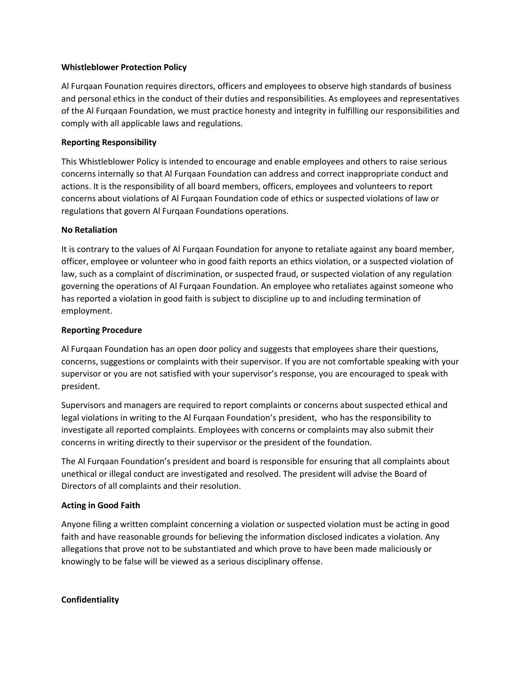## **Whistleblower Protection Policy**

Al Furqaan Founation requires directors, officers and employees to observe high standards of business and personal ethics in the conduct of their duties and responsibilities. As employees and representatives of the Al Furqaan Foundation, we must practice honesty and integrity in fulfilling our responsibilities and comply with all applicable laws and regulations.

## **Reporting Responsibility**

This Whistleblower Policy is intended to encourage and enable employees and others to raise serious concerns internally so that Al Furqaan Foundation can address and correct inappropriate conduct and actions. It is the responsibility of all board members, officers, employees and volunteers to report concerns about violations of Al Furqaan Foundation code of ethics or suspected violations of law or regulations that govern Al Furqaan Foundations operations.

### **No Retaliation**

It is contrary to the values of Al Furqaan Foundation for anyone to retaliate against any board member, officer, employee or volunteer who in good faith reports an ethics violation, or a suspected violation of law, such as a complaint of discrimination, or suspected fraud, or suspected violation of any regulation governing the operations of Al Furqaan Foundation. An employee who retaliates against someone who has reported a violation in good faith is subject to discipline up to and including termination of employment.

### **Reporting Procedure**

Al Furqaan Foundation has an open door policy and suggests that employees share their questions, concerns, suggestions or complaints with their supervisor. If you are not comfortable speaking with your supervisor or you are not satisfied with your supervisor's response, you are encouraged to speak with president.

Supervisors and managers are required to report complaints or concerns about suspected ethical and legal violations in writing to the Al Furqaan Foundation's president, who has the responsibility to investigate all reported complaints. Employees with concerns or complaints may also submit their concerns in writing directly to their supervisor or the president of the foundation.

The Al Furqaan Foundation's president and board is responsible for ensuring that all complaints about unethical or illegal conduct are investigated and resolved. The president will advise the Board of Directors of all complaints and their resolution.

## **Acting in Good Faith**

Anyone filing a written complaint concerning a violation or suspected violation must be acting in good faith and have reasonable grounds for believing the information disclosed indicates a violation. Any allegations that prove not to be substantiated and which prove to have been made maliciously or knowingly to be false will be viewed as a serious disciplinary offense.

#### **Confidentiality**